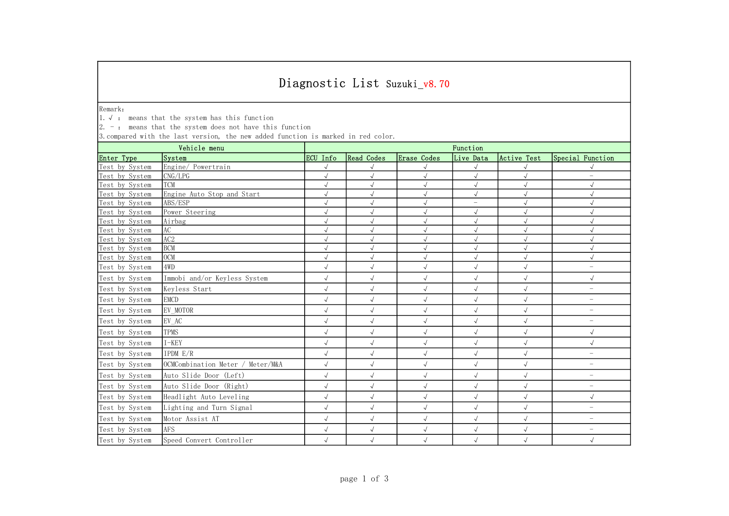## Diagnostic List Suzuki\_v8.70

Remark:

1.√ : means that the system has this function

| $\vert 2.$ -: means that the system does not have this function                                   |                                  |              |            |                        |            |              |                          |  |  |
|---------------------------------------------------------------------------------------------------|----------------------------------|--------------|------------|------------------------|------------|--------------|--------------------------|--|--|
| 3. compared with the last version, the new added function is marked in red color.<br>Vehicle menu |                                  | Function     |            |                        |            |              |                          |  |  |
| Enter Type                                                                                        | System                           | ECU Info     | Read Codes | Erase Codes            | Live Data  | Active Test  | Special Function         |  |  |
| Test by System                                                                                    | Engine/ Powertrain               | $\sqrt{}$    |            |                        |            |              |                          |  |  |
| Test by System                                                                                    | CNG/LPG                          | $\sqrt{2}$   | $\sqrt{ }$ | $\checkmark$           | $\sqrt{}$  | $\sqrt{ }$   | $\equiv$                 |  |  |
| Test by System                                                                                    | <b>TCM</b>                       | $\sqrt{}$    | $\sqrt{2}$ | $\sqrt{}$              | $\sqrt{2}$ | $\sqrt{ }$   | $\sqrt{}$                |  |  |
| Test by System                                                                                    | Engine Auto Stop and Start       | $\sqrt{}$    | $\sqrt{ }$ | $\checkmark$           | $\sqrt{}$  | $\sqrt{ }$   |                          |  |  |
| Test by System                                                                                    | ABS/ESP                          | $\sqrt{}$    | $\sqrt{ }$ |                        | $=$        | $\sqrt{ }$   |                          |  |  |
| Test by System                                                                                    | Power Steering                   | $\sqrt{}$    | $\sqrt{ }$ | $\sqrt{ }$             | $\sqrt{}$  | $\checkmark$ | $\sqrt{ }$               |  |  |
| Test by System                                                                                    | Airbag                           | $\sqrt{2}$   | $\sqrt{ }$ | $\sqrt{}$              | $\sqrt{2}$ | $\sqrt{}$    | $\sqrt{ }$               |  |  |
| Test by System                                                                                    | AC                               | $\sqrt{ }$   | $\sqrt{ }$ | $\sqrt{2}$             | $\sqrt{}$  | $\sqrt{}$    | $\sqrt{ }$               |  |  |
| Test by System                                                                                    | AC <sub>2</sub>                  | $\sqrt{}$    | $\sqrt{ }$ | $\sqrt{2}$             |            |              |                          |  |  |
| Test by System                                                                                    | <b>BCM</b>                       | $\sqrt{}$    | $\sqrt{ }$ | $\sqrt{}$<br>$\sqrt{}$ |            | $\checkmark$ | $\sqrt{}$                |  |  |
| Test by System                                                                                    | <b>OCM</b>                       | $\sqrt{}$    | $\sqrt{ }$ |                        |            | $\sqrt{ }$   |                          |  |  |
| Test by System                                                                                    | 4WD                              | $\sqrt{}$    | $\sqrt{ }$ | $\checkmark$           | $\sqrt{2}$ | $\sqrt{ }$   | $\overline{\phantom{0}}$ |  |  |
| Test by System                                                                                    | Immobi and/or Keyless System     | $\sqrt{}$    | $\sqrt{ }$ | $\sqrt{ }$             | $\sqrt{2}$ | $\sqrt{ }$   | $\sqrt{ }$               |  |  |
| Test by System                                                                                    | Keyless Start                    | $\sqrt{ }$   | $\sqrt{ }$ | $\sqrt{ }$             | $\sqrt{ }$ | $\sqrt{ }$   | $\qquad \qquad -$        |  |  |
| Test by System                                                                                    | <b>EMCD</b>                      | $\sqrt{2}$   | $\sqrt{2}$ | $\sqrt{}$              | $\sqrt{2}$ | $\sqrt{ }$   | $\overline{\phantom{0}}$ |  |  |
| Test by System                                                                                    | EV MOTOR                         | $\sqrt{}$    | $\sqrt{ }$ | $\sqrt{ }$             | $\sqrt{}$  | $\sqrt{ }$   | $\overline{\phantom{m}}$ |  |  |
| Test by System                                                                                    | EV AC                            | $\sqrt{ }$   | $\sqrt{ }$ | $\sqrt{ }$             | $\sqrt{2}$ | $\sqrt{ }$   | $\overline{\phantom{m}}$ |  |  |
| Test by System                                                                                    | <b>TPMS</b>                      | $\sqrt{}$    | $\sqrt{ }$ | $\sqrt{ }$             | $\sqrt{ }$ | $\sqrt{ }$   | $\sqrt{ }$               |  |  |
| Test by System                                                                                    | $I - KEY$                        | $\sqrt{}$    | $\sqrt{ }$ | $\sqrt{ }$             | $\sqrt{ }$ | $\sqrt{ }$   | $\sqrt{ }$               |  |  |
| Test by System                                                                                    | IPDM E/R                         | $\checkmark$ | $\sqrt{ }$ | $\sqrt{ }$             | $\sqrt{ }$ | $\sqrt{ }$   | $\equiv$                 |  |  |
| Test by System                                                                                    | OCMCombination Meter / Meter/M&A | $\sqrt{ }$   | $\sqrt{2}$ | $\sqrt{}$              | $\sqrt{2}$ | $\checkmark$ | $\overline{\phantom{0}}$ |  |  |
| Test by System                                                                                    | Auto Slide Door (Left)           | $\sqrt{ }$   | $\sqrt{ }$ | $\checkmark$           | $\sqrt{ }$ | $\sqrt{ }$   | $\overline{\phantom{0}}$ |  |  |
| Test by System                                                                                    | Auto Slide Door (Right)          | $\sqrt{ }$   | $\sqrt{ }$ | $\sqrt{ }$             | $\sqrt{ }$ | $\checkmark$ | $\overline{\phantom{0}}$ |  |  |
| Test by System                                                                                    | Headlight Auto Leveling          | $\sqrt{}$    | $\sqrt{ }$ | $\checkmark$           |            | $\checkmark$ | $\checkmark$             |  |  |
| Test by System                                                                                    | Lighting and Turn Signal         | $\sqrt{ }$   | $\sqrt{ }$ | $\sqrt{}$              | $\sqrt{2}$ | $\sqrt{ }$   | $\overline{\phantom{0}}$ |  |  |
| Test by System                                                                                    | Motor Assist AT                  | $\sqrt{}$    | $\sqrt{ }$ | $\checkmark$           | $\sqrt{ }$ | $\sqrt{ }$   | $\overline{\phantom{0}}$ |  |  |
| Test by System                                                                                    | <b>AFS</b>                       | $\sqrt{ }$   | $\sqrt{2}$ | $\sqrt{}$              | $\sqrt{2}$ | $\sqrt{ }$   | $\overline{\phantom{0}}$ |  |  |
| Test by System                                                                                    | Speed Convert Controller         | $\sqrt{}$    | $\sqrt{ }$ | $\sqrt{}$              | $\sqrt{2}$ | $\sqrt{ }$   | $\sqrt{2}$               |  |  |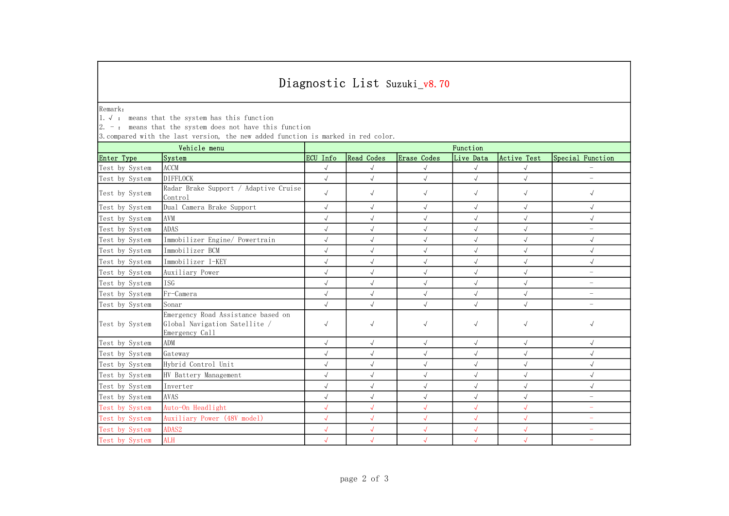## Diagnostic List Suzuki\_v8.70

Remark:

1.√ : means that the system has this function

| $2. -$ : means that the system does not have this function<br>3. compared with the last version, the new added function is marked in red color. |                                                                                       |              |            |              |              |              |                          |  |  |
|-------------------------------------------------------------------------------------------------------------------------------------------------|---------------------------------------------------------------------------------------|--------------|------------|--------------|--------------|--------------|--------------------------|--|--|
| Vehicle menu                                                                                                                                    |                                                                                       | Function     |            |              |              |              |                          |  |  |
| Enter Type                                                                                                                                      | System                                                                                | ECU Info     | Read Codes | Erase Codes  | Live Data    | Active Test  | Special Function         |  |  |
| Test by System                                                                                                                                  | <b>ACCM</b>                                                                           | $\sqrt{}$    | $\sqrt{2}$ | $\sqrt{}$    | $\sqrt{ }$   | $\sqrt{ }$   |                          |  |  |
| Test by System                                                                                                                                  | <b>DIFFLOCK</b>                                                                       | $\sqrt{}$    | $\sqrt{2}$ | $\checkmark$ | $\sqrt{}$    | $\checkmark$ | L.                       |  |  |
| Test by System                                                                                                                                  | Radar Brake Support / Adaptive Cruise<br>Control                                      | $\sqrt{}$    | $\sqrt{ }$ | $\sqrt{}$    | $\sqrt{ }$   | $\sqrt{ }$   | $\sqrt{}$                |  |  |
| Test by System                                                                                                                                  | Dual Camera Brake Support                                                             | $\sqrt{}$    | $\sqrt{ }$ | $\sqrt{ }$   | $\sqrt{}$    | $\sqrt{ }$   | $\sqrt{ }$               |  |  |
| Test by System                                                                                                                                  | AVM                                                                                   | $\checkmark$ | $\sqrt{ }$ | $\sqrt{}$    | $\checkmark$ | $\sqrt{ }$   | $\sqrt{ }$               |  |  |
| Test by System                                                                                                                                  | <b>ADAS</b>                                                                           | $\sqrt{}$    | $\sqrt{ }$ | $\sqrt{2}$   | $\sqrt{2}$   | $\sqrt{ }$   | $\equiv$                 |  |  |
| Test by System                                                                                                                                  | Immobilizer Engine/ Powertrain                                                        | $\sqrt{}$    | $\sqrt{2}$ | $\checkmark$ | $\sqrt{}$    | $\sqrt{ }$   | $\sqrt{}$                |  |  |
| Test by System                                                                                                                                  | Immobilizer BCM                                                                       | $\sqrt{}$    | $\sqrt{ }$ | $\sqrt{ }$   | $\sqrt{2}$   | $\sqrt{ }$   | $\sqrt{}$                |  |  |
| Test by System                                                                                                                                  | Immobilizer I-KEY                                                                     | $\sqrt{2}$   | $\sqrt{ }$ | $\sqrt{ }$   |              | $\checkmark$ | $\sqrt{ }$               |  |  |
| Test by System                                                                                                                                  | Auxiliary Power                                                                       | $\sqrt{2}$   | $\sqrt{ }$ | $\sqrt{ }$   | $\sqrt{2}$   | $\sqrt{ }$   | $\overline{\phantom{m}}$ |  |  |
| Test by System                                                                                                                                  | <b>TSG</b>                                                                            | $\sqrt{}$    | $\sqrt{2}$ | $\sqrt{}$    | $\sqrt{2}$   | $\sqrt{ }$   | $\overline{\phantom{m}}$ |  |  |
| Test by System                                                                                                                                  | Fr-Camera                                                                             | $\sqrt{}$    | $\sqrt{ }$ | $\sqrt{ }$   | $\sqrt{2}$   | $\sqrt{ }$   | $\overline{\phantom{a}}$ |  |  |
| Test by System                                                                                                                                  | Sonar                                                                                 | $\sqrt{}$    | $\sqrt{2}$ | $\sqrt{2}$   | $\sqrt{}$    | $\sqrt{ }$   | $\equiv$                 |  |  |
| Test by System                                                                                                                                  | Emergency Road Assistance based on<br>Global Navigation Satellite /<br>Emergency Call | $\sqrt{}$    | $\sqrt{}$  | $\sqrt{ }$   | $\sqrt{ }$   | $\sqrt{}$    |                          |  |  |
| Test by System                                                                                                                                  | <b>ADM</b>                                                                            | $\sqrt{2}$   | $\sqrt{ }$ | $\sqrt{2}$   | $\sqrt{ }$   | $\sqrt{ }$   | $\sqrt{ }$               |  |  |
| Test by System                                                                                                                                  | Gateway                                                                               | $\sqrt{}$    | $\sqrt{ }$ | $\sqrt{2}$   | $\sqrt{2}$   | $\sqrt{ }$   | $\sqrt{ }$               |  |  |
| Test by System                                                                                                                                  | Hybrid Control Unit                                                                   | $\sqrt{}$    | $\sqrt{ }$ | $\checkmark$ | $\sqrt{ }$   | $\sqrt{}$    | $\checkmark$             |  |  |
| Test by System                                                                                                                                  | HV Battery Management                                                                 | $\sqrt{}$    | $\sqrt{ }$ | $\sqrt{ }$   | $\sqrt{ }$   | $\sqrt{ }$   | $\sqrt{}$                |  |  |
| Test by System                                                                                                                                  | Inverter                                                                              | $\sqrt{}$    | $\sqrt{ }$ | $\sqrt{2}$   | $\sqrt{2}$   | $\checkmark$ | $\checkmark$             |  |  |
| Test by System                                                                                                                                  | <b>AVAS</b>                                                                           | $\sqrt{}$    | $\sqrt{2}$ | $\sqrt{ }$   |              | $\sqrt{ }$   | L,                       |  |  |
| Test by System                                                                                                                                  | Auto-On Headlight                                                                     | $\sqrt{2}$   | $\sqrt{ }$ | $\sqrt{2}$   | $\sqrt{2}$   | $\sqrt{ }$   | $\overline{\phantom{m}}$ |  |  |
| Test by System                                                                                                                                  | Auxiliary Power (48V model)                                                           | $\sqrt{2}$   | $\sqrt{ }$ | $\sqrt{2}$   | $\sqrt{2}$   | $\sqrt{ }$   | $\equiv$                 |  |  |
| Test by System                                                                                                                                  | ADAS2                                                                                 | $\sqrt{2}$   | $\sqrt{ }$ | $\sqrt{2}$   | $\sqrt{2}$   | $\sqrt{ }$   | $\overline{\phantom{m}}$ |  |  |
| Test by System                                                                                                                                  | <b>ALH</b>                                                                            | $\sqrt{2}$   | $\sqrt{ }$ | $\sqrt{2}$   | $\sqrt{2}$   | $\sqrt{2}$   |                          |  |  |